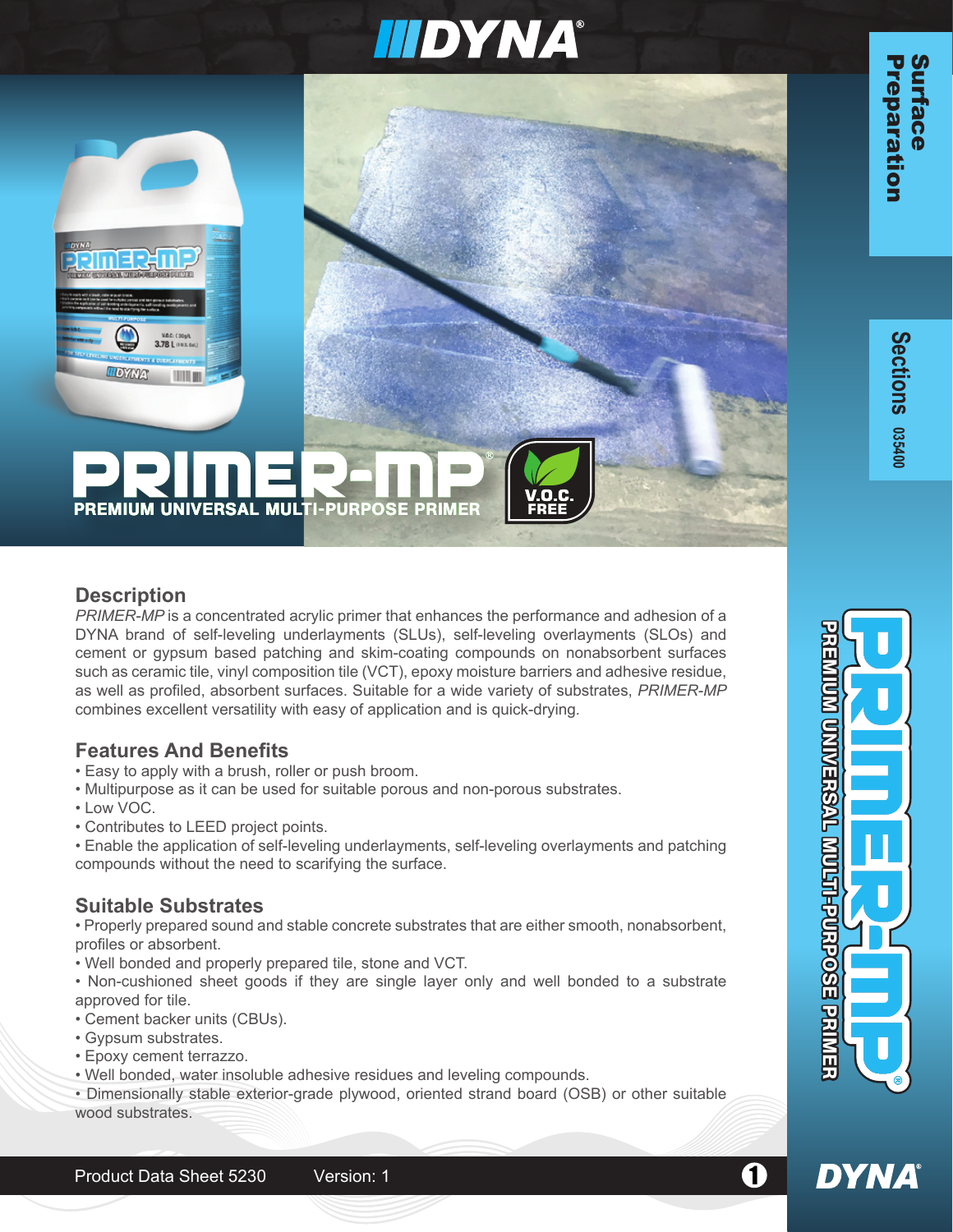## **IIIDYNA®**

 **FREE**



# PREMIUM UNIVERSAL MULTI-PURPOSE PRIMER

## **Description**

*PRIMER-MP* is a concentrated acrylic primer that enhances the performance and adhesion of a DYNA brand of self-leveling underlayments (SLUs), self-leveling overlayments (SLOs) and cement or gypsum based patching and skim-coating compounds on nonabsorbent surfaces such as ceramic tile, vinyl composition tile (VCT), epoxy moisture barriers and adhesive residue, as well as profiled, absorbent surfaces. Suitable for a wide variety of substrates, *PRIMER-MP* combines excellent versatility with easy of application and is quick-drying*.*

## **Features And Benefits**

- Easy to apply with a brush, roller or push broom.
- Multipurpose as it can be used for suitable porous and non-porous substrates.
- Low VOC.
- Contributes to LEED project points.

• Enable the application of self-leveling underlayments, self-leveling overlayments and patching compounds without the need to scarifying the surface.

## **Suitable Substrates**

• Properly prepared sound and stable concrete substrates that are either smooth, nonabsorbent, profiles or absorbent.

• Well bonded and properly prepared tile, stone and VCT.

• Non-cushioned sheet goods if they are single layer only and well bonded to a substrate approved for tile.

- Cement backer units (CBUs).
- Gypsum substrates.
- Epoxy cement terrazzo.
- Well bonded, water insoluble adhesive residues and leveling compounds.

• Dimensionally stable exterior-grade plywood, oriented strand board (OSB) or other suitable wood substrates.





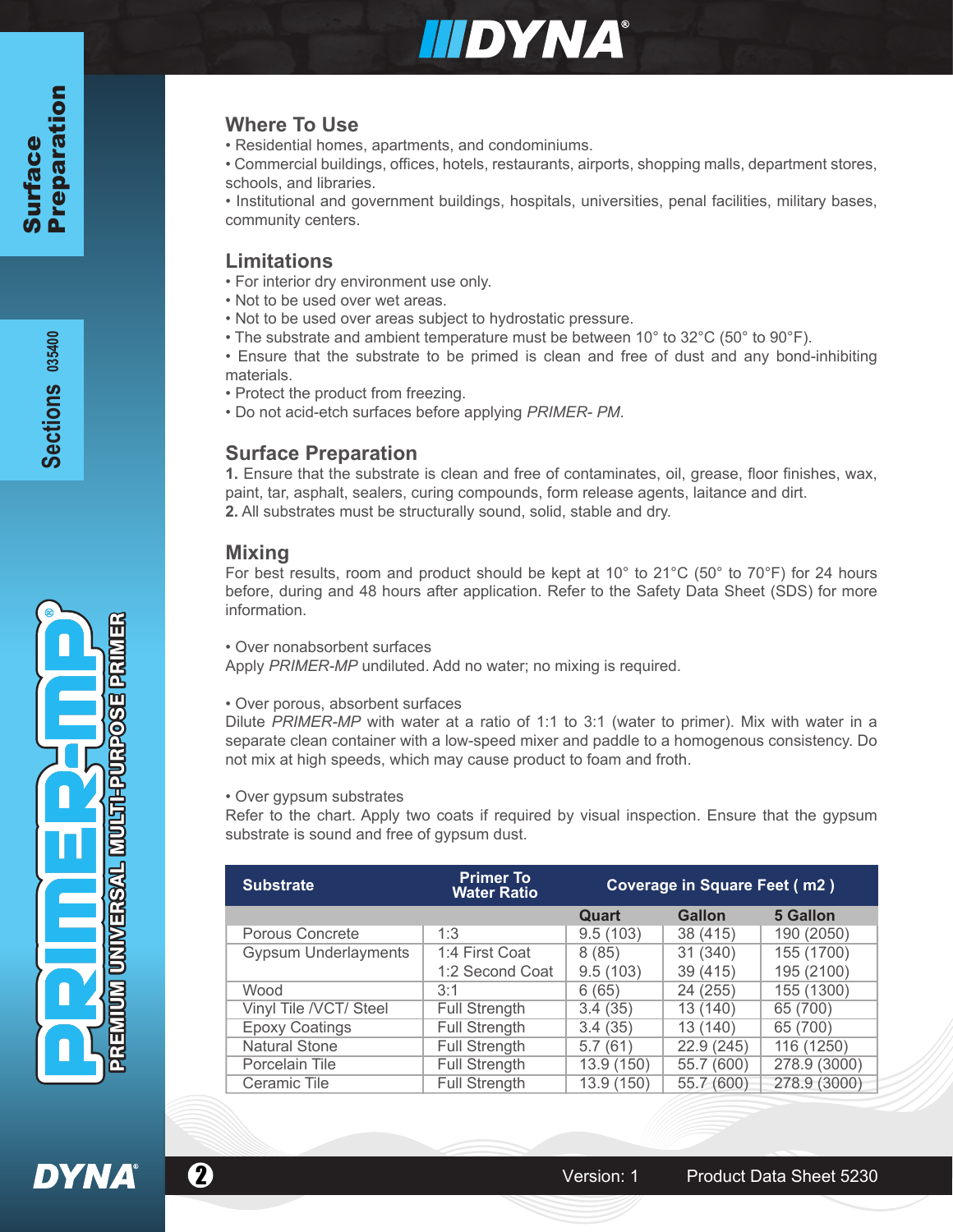

## **Where To Use**

- Residential homes, apartments, and condominiums.
- Commercial buildings, offices, hotels, restaurants, airports, shopping malls, department stores, schools, and libraries.

• Institutional and government buildings, hospitals, universities, penal facilities, military bases, community centers.

### **Limitations**

- For interior dry environment use only.
- Not to be used over wet areas.
- Not to be used over areas subject to hydrostatic pressure.
- The substrate and ambient temperature must be between 10° to 32°C (50° to 90°F).

• Ensure that the substrate to be primed is clean and free of dust and any bond-inhibiting materials.

- Protect the product from freezing.
- Do not acid-etch surfaces before applying *PRIMER- PM*.

## **Surface Preparation**

**1.** Ensure that the substrate is clean and free of contaminates, oil, grease, floor finishes, wax, paint, tar, asphalt, sealers, curing compounds, form release agents, laitance and dirt. **2.** All substrates must be structurally sound, solid, stable and dry.

## **Mixing**

For best results, room and product should be kept at 10° to 21°C (50° to 70°F) for 24 hours before, during and 48 hours after application. Refer to the Safety Data Sheet (SDS) for more information.

• Over nonabsorbent surfaces

Apply *PRIMER-MP* undiluted. Add no water; no mixing is required.

#### • Over porous, absorbent surfaces

Dilute *PRIMER-MP* with water at a ratio of 1:1 to 3:1 (water to primer). Mix with water in a separate clean container with a low-speed mixer and paddle to a homogenous consistency. Do not mix at high speeds, which may cause product to foam and froth.

#### • Over gypsum substrates

Refer to the chart. Apply two coats if required by visual inspection. Ensure that the gypsum substrate is sound and free of gypsum dust.

| <b>Substrate</b>            | <b>Primer To</b><br><b>Water Ratio</b> | <b>Coverage in Square Feet (m2)</b> |               |              |
|-----------------------------|----------------------------------------|-------------------------------------|---------------|--------------|
|                             |                                        | Quart                               | <b>Gallon</b> | 5 Gallon     |
| Porous Concrete             | 1:3                                    | 9.5(103)                            | 38 (415)      | 190 (2050)   |
| <b>Gypsum Underlayments</b> | 1:4 First Coat                         | 8(85)                               | 31 (340)      | 155 (1700)   |
|                             | 1:2 Second Coat                        | 9.5(103)                            | 39 (415)      | 195 (2100)   |
| Wood                        | 3:1                                    | 6(65)                               | 24 (255)      | 155 (1300)   |
| Vinyl Tile /VCT/ Steel      | <b>Full Strength</b>                   | 3.4(35)                             | 13 (140)      | 65 (700)     |
| <b>Epoxy Coatings</b>       | <b>Full Strength</b>                   | 3.4(35)                             | 13 (140)      | 65 (700)     |
| <b>Natural Stone</b>        | <b>Full Strength</b>                   | 5.7(61)                             | 22.9 (245)    | 116 (1250)   |
| Porcelain Tile              | <b>Full Strength</b>                   | 13.9 (150)                          | 55.7 (600)    | 278.9 (3000) |
| Ceramic Tile                | <b>Full Strength</b>                   | 13.9 (150)                          | 55.7 (600)    | 278.9 (3000) |



**2** Version: 1 Product Data Sheet 5230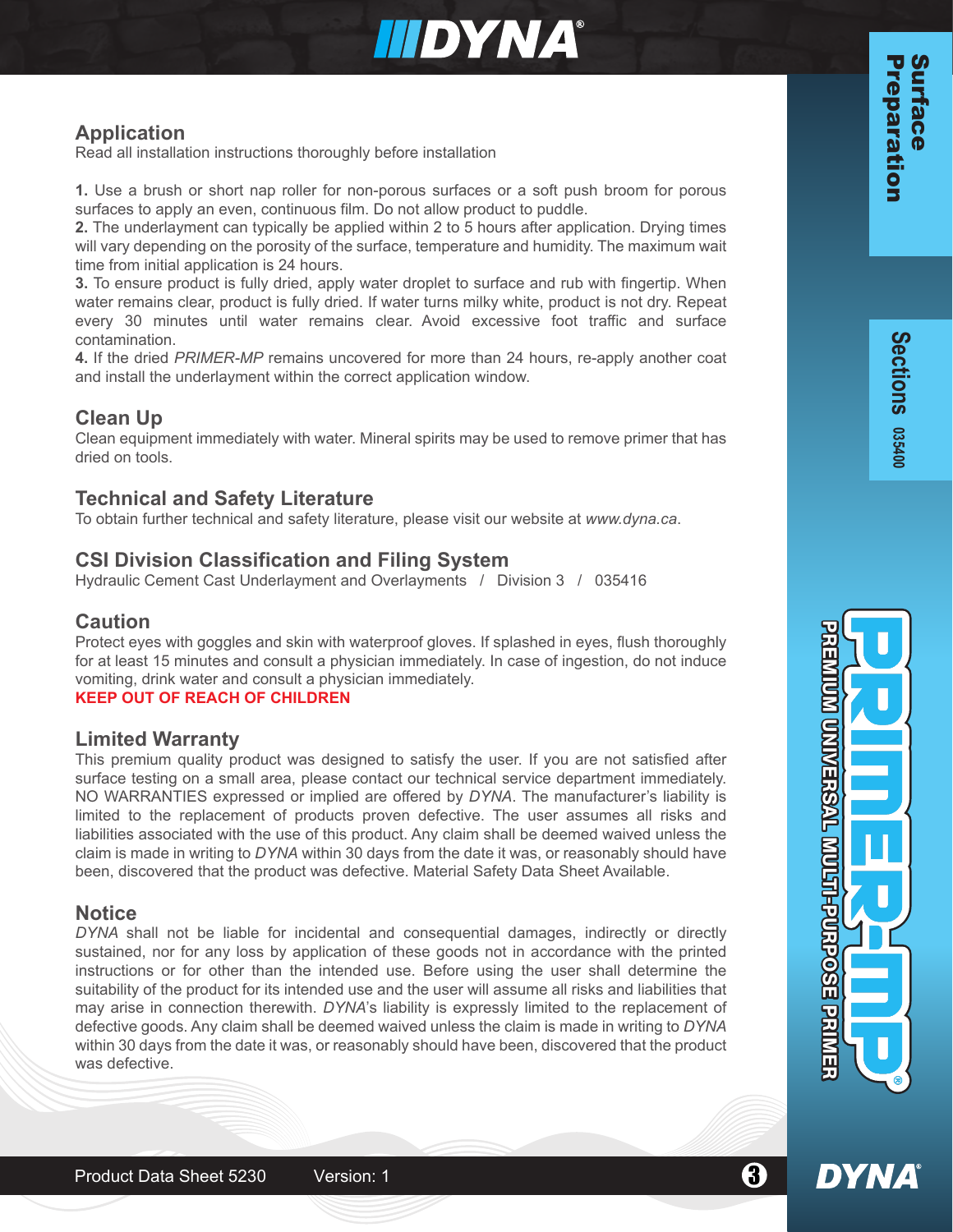

## **Application**

Read all installation instructions thoroughly before installation

**1.** Use a brush or short nap roller for non-porous surfaces or a soft push broom for porous surfaces to apply an even, continuous film. Do not allow product to puddle.

**2.** The underlayment can typically be applied within 2 to 5 hours after application. Drying times will vary depending on the porosity of the surface, temperature and humidity. The maximum wait time from initial application is 24 hours.

**3.** To ensure product is fully dried, apply water droplet to surface and rub with fingertip. When water remains clear, product is fully dried. If water turns milky white, product is not dry. Repeat every 30 minutes until water remains clear. Avoid excessive foot traffic and surface contamination.

**4.** If the dried *PRIMER-MP* remains uncovered for more than 24 hours, re-apply another coat and install the underlayment within the correct application window.

## **Clean Up**

Clean equipment immediately with water. Mineral spirits may be used to remove primer that has dried on tools.

#### **Technical and Safety Literature**

To obtain further technical and safety literature, please visit our website at *www.dyna.ca*.

#### **CSI Division Classification and Filing System**

Hydraulic Cement Cast Underlayment and Overlayments / Division 3 / 035416

#### **Caution**

Protect eyes with goggles and skin with waterproof gloves. If splashed in eyes, flush thoroughly for at least 15 minutes and consult a physician immediately. In case of ingestion, do not induce vomiting, drink water and consult a physician immediately.

#### **KEEP OUT OF REACH OF CHILDREN**

#### **Limited Warranty**

This premium quality product was designed to satisfy the user. If you are not satisfied after surface testing on a small area, please contact our technical service department immediately. NO WARRANTIES expressed or implied are offered by *DYNA*. The manufacturer's liability is limited to the replacement of products proven defective. The user assumes all risks and liabilities associated with the use of this product. Any claim shall be deemed waived unless the claim is made in writing to *DYNA* within 30 days from the date it was, or reasonably should have been, discovered that the product was defective. Material Safety Data Sheet Available.

#### **Notice**

*DYNA* shall not be liable for incidental and consequential damages, indirectly or directly sustained, nor for any loss by application of these goods not in accordance with the printed instructions or for other than the intended use. Before using the user shall determine the suitability of the product for its intended use and the user will assume all risks and liabilities that may arise in connection therewith. *DYNA*'s liability is expressly limited to the replacement of defective goods. Any claim shall be deemed waived unless the claim is made in writing to *DYNA* within 30 days from the date it was, or reasonably should have been, discovered that the product was defective.



**DYNA**